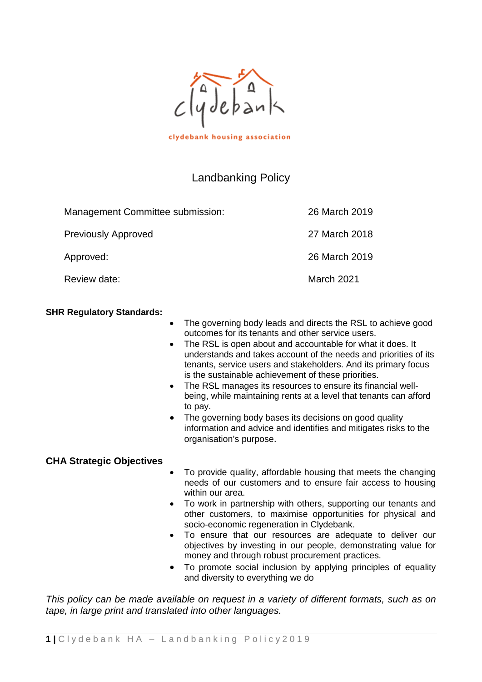

|  |  |  |  |  |  |  | clydebank housing association |  |  |
|--|--|--|--|--|--|--|-------------------------------|--|--|
|--|--|--|--|--|--|--|-------------------------------|--|--|

# Landbanking Policy

| Management Committee submission: | 26 March 2019 |
|----------------------------------|---------------|
| <b>Previously Approved</b>       | 27 March 2018 |
| Approved:                        | 26 March 2019 |
| Review date:                     | March 2021    |

#### **SHR Regulatory Standards:**

- The governing body leads and directs the RSL to achieve good outcomes for its tenants and other service users.
- The RSL is open about and accountable for what it does. It understands and takes account of the needs and priorities of its tenants, service users and stakeholders. And its primary focus is the sustainable achievement of these priorities.
- The RSL manages its resources to ensure its financial wellbeing, while maintaining rents at a level that tenants can afford to pay.
- The governing body bases its decisions on good quality information and advice and identifies and mitigates risks to the organisation's purpose.

#### **CHA Strategic Objectives**

- To provide quality, affordable housing that meets the changing needs of our customers and to ensure fair access to housing within our area.
- To work in partnership with others, supporting our tenants and other customers, to maximise opportunities for physical and socio-economic regeneration in Clydebank.
- To ensure that our resources are adequate to deliver our objectives by investing in our people, demonstrating value for money and through robust procurement practices.
- To promote social inclusion by applying principles of equality and diversity to everything we do

*This policy can be made available on request in a variety of different formats, such as on tape, in large print and translated into other languages.*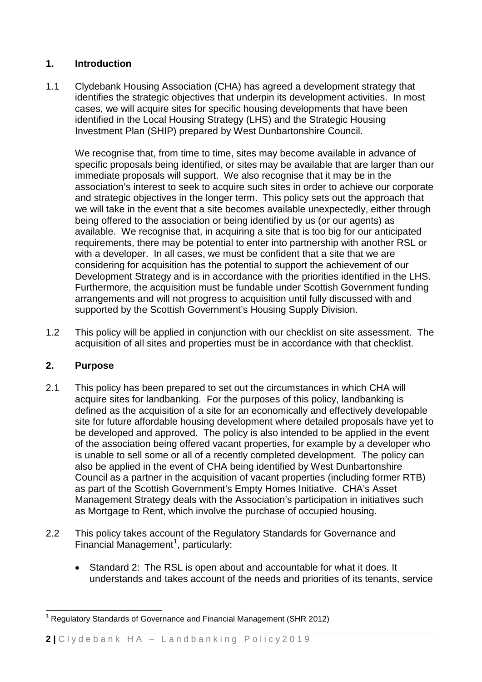# **1. Introduction**

1.1 Clydebank Housing Association (CHA) has agreed a development strategy that identifies the strategic objectives that underpin its development activities. In most cases, we will acquire sites for specific housing developments that have been identified in the Local Housing Strategy (LHS) and the Strategic Housing Investment Plan (SHIP) prepared by West Dunbartonshire Council.

We recognise that, from time to time, sites may become available in advance of specific proposals being identified, or sites may be available that are larger than our immediate proposals will support. We also recognise that it may be in the association's interest to seek to acquire such sites in order to achieve our corporate and strategic objectives in the longer term. This policy sets out the approach that we will take in the event that a site becomes available unexpectedly, either through being offered to the association or being identified by us (or our agents) as available. We recognise that, in acquiring a site that is too big for our anticipated requirements, there may be potential to enter into partnership with another RSL or with a developer. In all cases, we must be confident that a site that we are considering for acquisition has the potential to support the achievement of our Development Strategy and is in accordance with the priorities identified in the LHS. Furthermore, the acquisition must be fundable under Scottish Government funding arrangements and will not progress to acquisition until fully discussed with and supported by the Scottish Government's Housing Supply Division.

1.2 This policy will be applied in conjunction with our checklist on site assessment. The acquisition of all sites and properties must be in accordance with that checklist.

# **2. Purpose**

- 2.1 This policy has been prepared to set out the circumstances in which CHA will acquire sites for landbanking. For the purposes of this policy, landbanking is defined as the acquisition of a site for an economically and effectively developable site for future affordable housing development where detailed proposals have yet to be developed and approved. The policy is also intended to be applied in the event of the association being offered vacant properties, for example by a developer who is unable to sell some or all of a recently completed development. The policy can also be applied in the event of CHA being identified by West Dunbartonshire Council as a partner in the acquisition of vacant properties (including former RTB) as part of the Scottish Government's Empty Homes Initiative. CHA's Asset Management Strategy deals with the Association's participation in initiatives such as Mortgage to Rent, which involve the purchase of occupied housing.
- 2.2 This policy takes account of the Regulatory Standards for Governance and Financial Management<sup>[1](#page-1-0)</sup>, particularly:
	- Standard 2: The RSL is open about and accountable for what it does. It understands and takes account of the needs and priorities of its tenants, service

<span id="page-1-0"></span> $1$  Regulatory Standards of Governance and Financial Management (SHR 2012)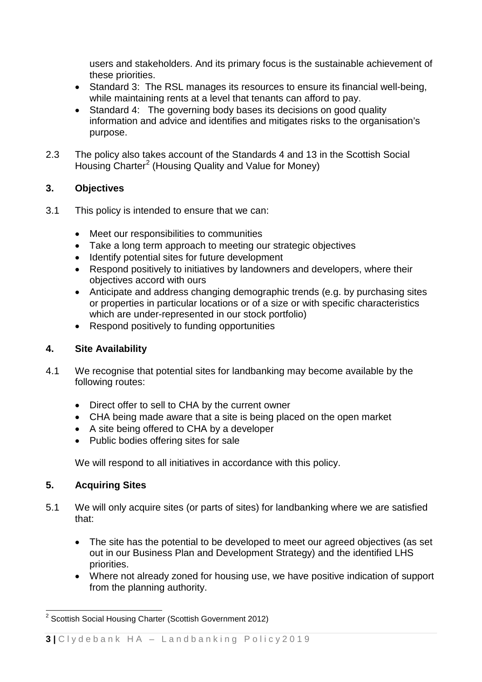users and stakeholders. And its primary focus is the sustainable achievement of these priorities.

- Standard 3: The RSL manages its resources to ensure its financial well-being, while maintaining rents at a level that tenants can afford to pay.
- Standard 4: The governing body bases its decisions on good quality information and advice and identifies and mitigates risks to the organisation's purpose.
- 2.3 The policy also takes account of the Standards 4 and 13 in the Scottish Social Housing Charter<sup>[2](#page-2-0)</sup> (Housing Quality and Value for Money)

# **3. Objectives**

- 3.1 This policy is intended to ensure that we can:
	- Meet our responsibilities to communities
	- Take a long term approach to meeting our strategic objectives
	- Identify potential sites for future development
	- Respond positively to initiatives by landowners and developers, where their objectives accord with ours
	- Anticipate and address changing demographic trends (e.g. by purchasing sites or properties in particular locations or of a size or with specific characteristics which are under-represented in our stock portfolio)
	- Respond positively to funding opportunities

# **4. Site Availability**

- 4.1 We recognise that potential sites for landbanking may become available by the following routes:
	- Direct offer to sell to CHA by the current owner
	- CHA being made aware that a site is being placed on the open market
	- A site being offered to CHA by a developer
	- Public bodies offering sites for sale

We will respond to all initiatives in accordance with this policy.

# **5. Acquiring Sites**

- 5.1 We will only acquire sites (or parts of sites) for landbanking where we are satisfied that:
	- The site has the potential to be developed to meet our agreed objectives (as set out in our Business Plan and Development Strategy) and the identified LHS priorities.
	- Where not already zoned for housing use, we have positive indication of support from the planning authority.

<span id="page-2-0"></span><sup>&</sup>lt;sup>2</sup> Scottish Social Housing Charter (Scottish Government 2012)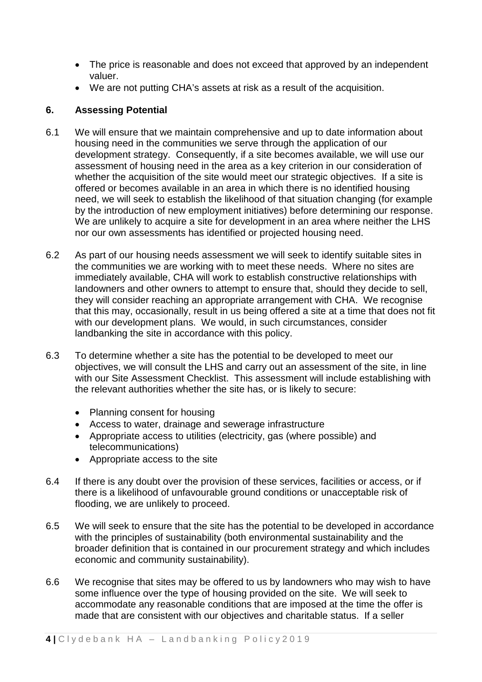- The price is reasonable and does not exceed that approved by an independent valuer.
- We are not putting CHA's assets at risk as a result of the acquisition.

#### **6. Assessing Potential**

- 6.1 We will ensure that we maintain comprehensive and up to date information about housing need in the communities we serve through the application of our development strategy. Consequently, if a site becomes available, we will use our assessment of housing need in the area as a key criterion in our consideration of whether the acquisition of the site would meet our strategic objectives. If a site is offered or becomes available in an area in which there is no identified housing need, we will seek to establish the likelihood of that situation changing (for example by the introduction of new employment initiatives) before determining our response. We are unlikely to acquire a site for development in an area where neither the LHS nor our own assessments has identified or projected housing need.
- 6.2 As part of our housing needs assessment we will seek to identify suitable sites in the communities we are working with to meet these needs. Where no sites are immediately available, CHA will work to establish constructive relationships with landowners and other owners to attempt to ensure that, should they decide to sell, they will consider reaching an appropriate arrangement with CHA. We recognise that this may, occasionally, result in us being offered a site at a time that does not fit with our development plans. We would, in such circumstances, consider landbanking the site in accordance with this policy.
- 6.3 To determine whether a site has the potential to be developed to meet our objectives, we will consult the LHS and carry out an assessment of the site, in line with our Site Assessment Checklist. This assessment will include establishing with the relevant authorities whether the site has, or is likely to secure:
	- Planning consent for housing
	- Access to water, drainage and sewerage infrastructure
	- Appropriate access to utilities (electricity, gas (where possible) and telecommunications)
	- Appropriate access to the site
- 6.4 If there is any doubt over the provision of these services, facilities or access, or if there is a likelihood of unfavourable ground conditions or unacceptable risk of flooding, we are unlikely to proceed.
- 6.5 We will seek to ensure that the site has the potential to be developed in accordance with the principles of sustainability (both environmental sustainability and the broader definition that is contained in our procurement strategy and which includes economic and community sustainability).
- 6.6 We recognise that sites may be offered to us by landowners who may wish to have some influence over the type of housing provided on the site. We will seek to accommodate any reasonable conditions that are imposed at the time the offer is made that are consistent with our objectives and charitable status. If a seller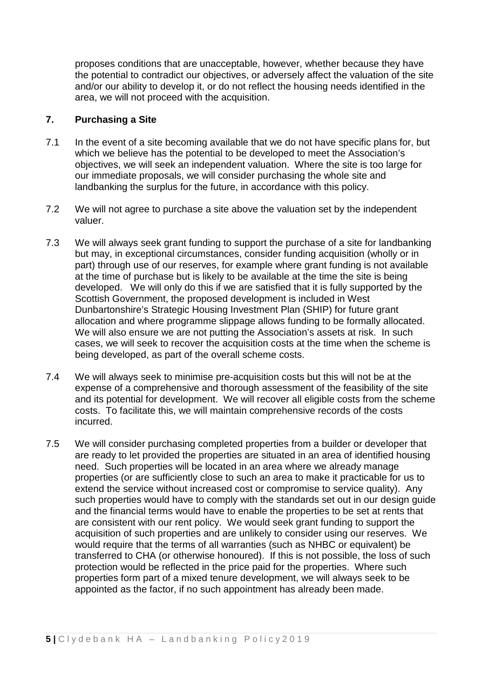proposes conditions that are unacceptable, however, whether because they have the potential to contradict our objectives, or adversely affect the valuation of the site and/or our ability to develop it, or do not reflect the housing needs identified in the area, we will not proceed with the acquisition.

#### **7. Purchasing a Site**

- 7.1 In the event of a site becoming available that we do not have specific plans for, but which we believe has the potential to be developed to meet the Association's objectives, we will seek an independent valuation. Where the site is too large for our immediate proposals, we will consider purchasing the whole site and landbanking the surplus for the future, in accordance with this policy.
- 7.2 We will not agree to purchase a site above the valuation set by the independent valuer.
- 7.3 We will always seek grant funding to support the purchase of a site for landbanking but may, in exceptional circumstances, consider funding acquisition (wholly or in part) through use of our reserves, for example where grant funding is not available at the time of purchase but is likely to be available at the time the site is being developed. We will only do this if we are satisfied that it is fully supported by the Scottish Government, the proposed development is included in West Dunbartonshire's Strategic Housing Investment Plan (SHIP) for future grant allocation and where programme slippage allows funding to be formally allocated. We will also ensure we are not putting the Association's assets at risk. In such cases, we will seek to recover the acquisition costs at the time when the scheme is being developed, as part of the overall scheme costs.
- 7.4 We will always seek to minimise pre-acquisition costs but this will not be at the expense of a comprehensive and thorough assessment of the feasibility of the site and its potential for development. We will recover all eligible costs from the scheme costs. To facilitate this, we will maintain comprehensive records of the costs incurred.
- 7.5 We will consider purchasing completed properties from a builder or developer that are ready to let provided the properties are situated in an area of identified housing need. Such properties will be located in an area where we already manage properties (or are sufficiently close to such an area to make it practicable for us to extend the service without increased cost or compromise to service quality). Any such properties would have to comply with the standards set out in our design guide and the financial terms would have to enable the properties to be set at rents that are consistent with our rent policy. We would seek grant funding to support the acquisition of such properties and are unlikely to consider using our reserves. We would require that the terms of all warranties (such as NHBC or equivalent) be transferred to CHA (or otherwise honoured). If this is not possible, the loss of such protection would be reflected in the price paid for the properties. Where such properties form part of a mixed tenure development, we will always seek to be appointed as the factor, if no such appointment has already been made.